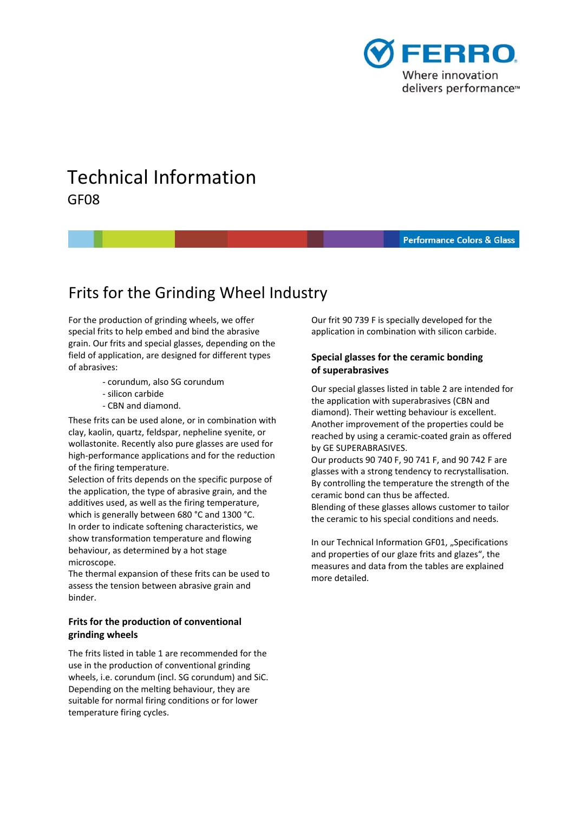

# Technical Information GF08

#### **Performance Colors & Glass**

# Frits for the Grinding Wheel Industry

 For the production of grinding wheels, we offer special frits to help embed and bind the abrasive grain. Our frits and special glasses, depending on the field of application, are designed for different types of abrasives:

- ‐ corundum, also SG corundum
- ‐ silicon carbide
- ‐ CBN and diamond.

 These frits can be used alone, or in combination with clay, kaolin, quartz, feldspar, nepheline syenite, or wollastonite. Recently also pure glasses are used for high‐performance applications and for the reduction of the firing temperature.

 Selection of frits depends on the specific purpose of the application, the type of abrasive grain, and the additives used, as well as the firing temperature, which is generally between 680 °C and 1300 °C. In order to indicate softening characteristics, we show transformation temperature and flowing behaviour, as determined by a hot stage microscope.

 The thermal expansion of these frits can be used to assess the tension between abrasive grain and binder.

## **Frits for the production of conventional grinding wheels**

 The frits listed in table 1 are recommended for the use in the production of conventional grinding wheels, i.e. corundum (incl. SG corundum) and SiC. Depending on the melting behaviour, they are suitable for normal firing conditions or for lower temperature firing cycles.

 Our frit 90 739 F is specially developed for the application in combination with silicon carbide.

## **Special glasses for the ceramic bonding of superabrasives**

 Our special glasses listed in table 2 are intended for the application with superabrasives (CBN and diamond). Their wetting behaviour is excellent. Another improvement of the properties could be reached by using a ceramic‐coated grain as offered by GE SUPERABRASIVES.

 Our products 90 740 F, 90 741 F, and 90 742 F are glasses with a strong tendency to recrystallisation. By controlling the temperature the strength of the ceramic bond can thus be affected.

 Blending of these glasses allows customer to tailor the ceramic to his special conditions and needs.

In our Technical Information GF01, "Specifications and properties of our glaze frits and glazes", the measures and data from the tables are explained more detailed.